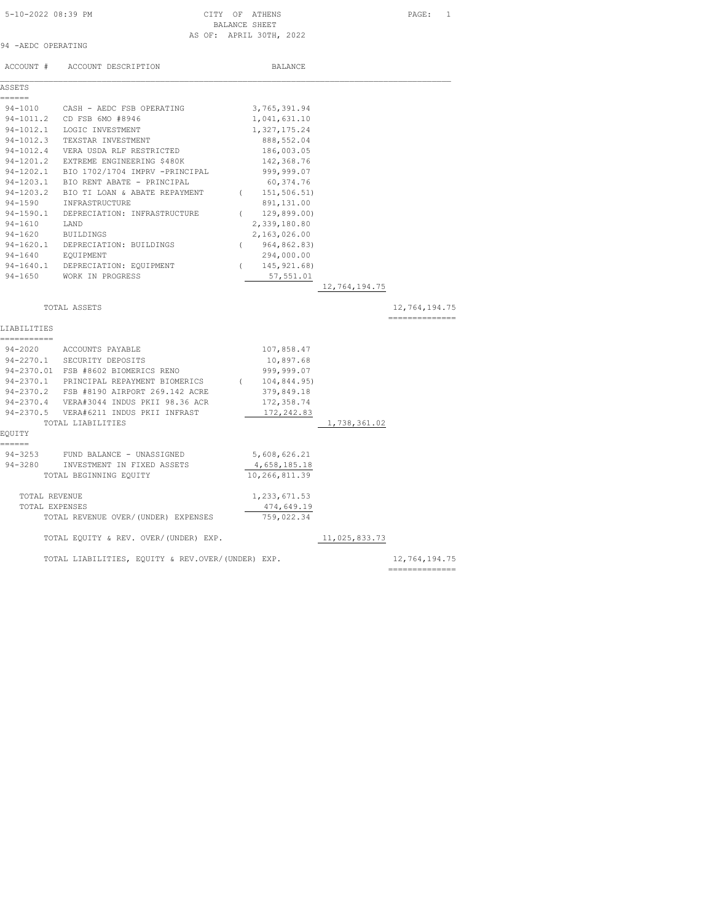### 5-10-2022 08:39 PM CITY OF ATHENS PAGE: 1 BALANCE SHEET AS OF: APRIL 30TH, 2022

|  | 94 - AEDC OPERATING |
|--|---------------------|

|               | ACCOUNT # ACCOUNT DESCRIPTION                     |          | <b>BALANCE</b>            |               |                |
|---------------|---------------------------------------------------|----------|---------------------------|---------------|----------------|
| ASSETS        |                                                   |          |                           |               |                |
| ======        |                                                   |          |                           |               |                |
|               | 94-1010 CASH - AEDC FSB OPERATING                 |          | 3,765,391.94              |               |                |
|               | 94-1011.2 CD FSB 6MO #8946                        |          | 1,041,631.10              |               |                |
|               | 94-1012.1 LOGIC INVESTMENT                        |          | 1,327,175.24              |               |                |
|               | 94-1012.3 TEXSTAR INVESTMENT                      |          | 888,552.04                |               |                |
|               | 94-1012.4 VERA USDA RLF RESTRICTED                |          | 186,003.05                |               |                |
|               | 94-1201.2 EXTREME ENGINEERING \$480K              |          | 142,368.76                |               |                |
|               | 94-1202.1 BIO 1702/1704 IMPRV -PRINCIPAL          |          | 999,999.07                |               |                |
|               | 94-1203.1 BIO RENT ABATE - PRINCIPAL              |          | 60,374.76                 |               |                |
|               | 94-1203.2 BIO TI LOAN & ABATE REPAYMENT           |          | (151, 506.51)             |               |                |
|               | 94-1590 INFRASTRUCTURE                            |          | 891,131.00                |               |                |
|               | 94-1590.1 DEPRECIATION: INFRASTRUCTURE            |          | 129,899.00)<br>$\sqrt{2}$ |               |                |
| 94-1610 LAND  |                                                   |          | 2,339,180.80              |               |                |
|               | 94-1620 BUILDINGS                                 |          | 2,163,026.00              |               |                |
|               | 94-1620.1 DEPRECIATION: BUILDINGS                 |          | (964, 862.83)             |               |                |
|               | 94-1640 EQUIPMENT                                 |          | 294,000.00                |               |                |
|               | 94-1640.1 DEPRECIATION: EQUIPMENT                 | $\left($ | 145,921.68)               |               |                |
|               | 94-1650 WORK IN PROGRESS                          |          | 57,551.01                 |               |                |
|               |                                                   |          |                           | 12,764,194.75 |                |
|               | TOTAL ASSETS                                      |          |                           |               | 12,764,194.75  |
|               |                                                   |          |                           |               | ============== |
| LIABILITIES   |                                                   |          |                           |               |                |
| ===========   |                                                   |          |                           |               |                |
|               | 94-2020 ACCOUNTS PAYABLE                          |          | 107,858.47                |               |                |
|               | 94-2270.1 SECURITY DEPOSITS                       |          | 10,897.68                 |               |                |
|               | 94-2370.01 FSB #8602 BIOMERICS RENO               |          | 999,999.07                |               |                |
|               | 94-2370.1 PRINCIPAL REPAYMENT BIOMERICS           |          | (104, 844.95)             |               |                |
|               | 94-2370.2 FSB #8190 AIRPORT 269.142 ACRE          |          | 379,849.18                |               |                |
|               | 94-2370.4 VERA#3044 INDUS PKII 98.36 ACR          |          | 172,358.74                |               |                |
|               | 94-2370.5 VERA#6211 INDUS PKII INFRAST            |          | 172,242.83                |               |                |
|               | TOTAL LIABILITIES                                 |          |                           | 1,738,361.02  |                |
| EQUITY        |                                                   |          |                           |               |                |
| ======        |                                                   |          |                           |               |                |
| $94 - 3253$   | FUND BALANCE - UNASSIGNED                         |          | 5,608,626.21              |               |                |
|               | 94-3280 INVESTMENT IN FIXED ASSETS                |          | 4,658,185.18              |               |                |
|               | TOTAL BEGINNING EQUITY                            |          | 10,266,811.39             |               |                |
| TOTAL REVENUE |                                                   |          | 1,233,671.53              |               |                |
|               | TOTAL EXPENSES                                    |          | 474,649.19                |               |                |
|               | TOTAL REVENUE OVER/(UNDER) EXPENSES               |          | 759,022.34                |               |                |
|               | TOTAL EQUITY & REV. OVER/(UNDER) EXP.             |          |                           | 11,025,833.73 |                |
|               | TOTAL LIABILITIES, EQUITY & REV.OVER/(UNDER) EXP. |          |                           |               | 12,764,194.75  |

==============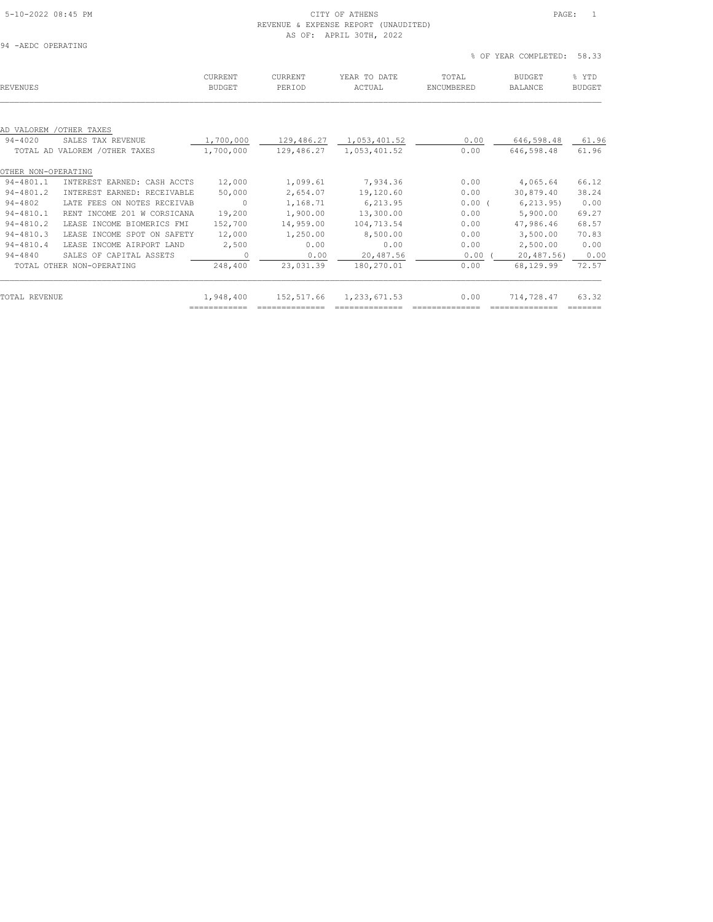### 5-10-2022 08:45 PM CITY OF ATHENS PAGE: 1 REVENUE & EXPENSE REPORT (UNAUDITED) AS OF: APRIL 30TH, 2022

% OF YEAR COMPLETED: 58.33

| REVENUES            |                                | <b>CURRENT</b><br><b>BUDGET</b> | CURRENT<br>PERIOD | YEAR TO DATE<br>ACTUAL | TOTAL<br>ENCUMBERED | <b>BUDGET</b><br><b>BALANCE</b> | % YTD<br><b>BUDGET</b> |
|---------------------|--------------------------------|---------------------------------|-------------------|------------------------|---------------------|---------------------------------|------------------------|
|                     |                                |                                 |                   |                        |                     |                                 |                        |
|                     | AD VALOREM / OTHER TAXES       |                                 |                   |                        |                     |                                 |                        |
| $94 - 4020$         | SALES TAX REVENUE              | 1,700,000                       | 129,486.27        | 1,053,401.52           | 0.00                | 646,598.48                      | 61.96                  |
|                     | TOTAL AD VALOREM / OTHER TAXES | 1,700,000                       | 129,486.27        | 1,053,401.52           | 0.00                | 646,598.48                      | 61.96                  |
| OTHER NON-OPERATING |                                |                                 |                   |                        |                     |                                 |                        |
| 94-4801.1           | INTEREST EARNED: CASH ACCTS    | 12,000                          | 1,099.61          | 7,934.36               | 0.00                | 4,065.64                        | 66.12                  |
| $94 - 4801.2$       | INTEREST EARNED: RECEIVABLE    | 50,000                          | 2,654.07          | 19,120.60              | 0.00                | 30,879.40                       | 38.24                  |
| $94 - 4802$         | LATE FEES ON NOTES RECEIVAB    | $\circ$                         | 1,168.71          | 6,213.95               | 0.00(               | 6, 213, 95)                     | 0.00                   |
| $94 - 4810.1$       | RENT INCOME 201 W CORSICANA    | 19,200                          | 1,900.00          | 13,300.00              | 0.00                | 5,900.00                        | 69.27                  |
| $94 - 4810.2$       | LEASE INCOME BIOMERICS FMI     | 152,700                         | 14,959.00         | 104,713.54             | 0.00                | 47,986.46                       | 68.57                  |
| $94 - 4810.3$       | LEASE INCOME SPOT ON SAFETY    | 12,000                          | 1,250.00          | 8,500.00               | 0.00                | 3,500.00                        | 70.83                  |
| $94 - 4810.4$       | LEASE INCOME AIRPORT LAND      | 2,500                           | 0.00              | 0.00                   | 0.00                | 2,500.00                        | 0.00                   |
| $94 - 4840$         | SALES OF CAPITAL ASSETS        | $\circ$                         | 0.00              | 20,487.56              | 0.00                | 20,487.56                       | 0.00                   |
|                     | TOTAL OTHER NON-OPERATING      | 248,400                         | 23,031.39         | 180,270.01             | 0.00                | 68,129.99                       | 72.57                  |
| TOTAL REVENUE       |                                | 1,948,400                       | 152,517.66        | 1,233,671.53           | 0.00                | 714,728.47                      | 63.32                  |
|                     |                                | ============                    |                   |                        |                     |                                 | _______                |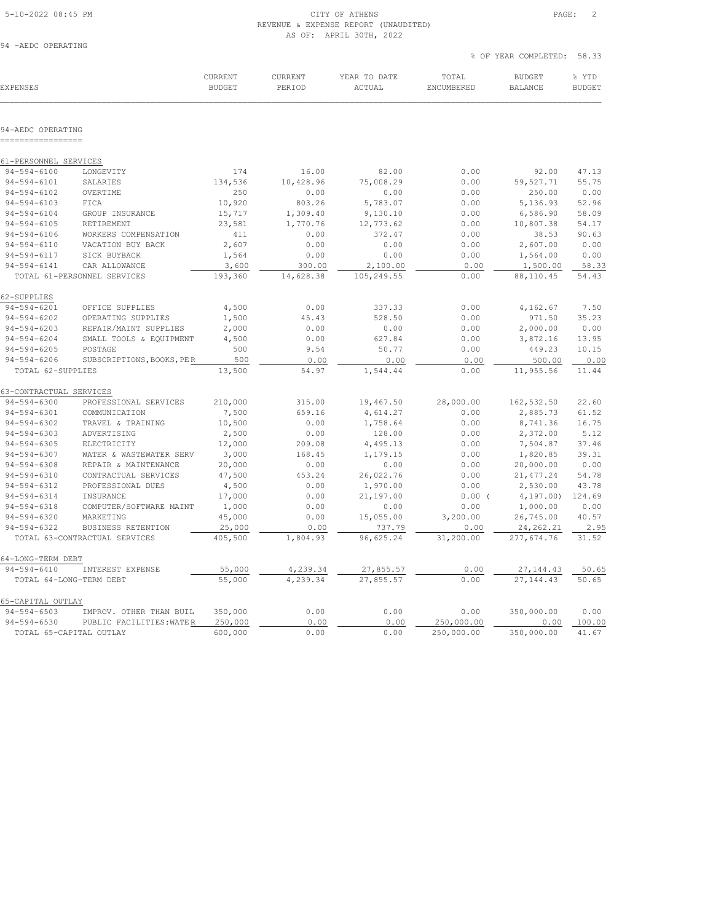## 5-10-2022 08:45 PM CITY OF ATHENS PAGE: 2 REVENUE & EXPENSE REPORT (UNAUDITED) AS OF: APRIL 30TH, 2022<br>94 - AEDC OPERATING

|  | 94 -AEDC OPERATING |  |
|--|--------------------|--|
|  |                    |  |

|                                        |                                                     |                          |                   |                        | % OF YEAR COMPLETED: | 58.33                           |                        |
|----------------------------------------|-----------------------------------------------------|--------------------------|-------------------|------------------------|----------------------|---------------------------------|------------------------|
| <b>EXPENSES</b>                        |                                                     | CURRENT<br><b>BUDGET</b> | CURRENT<br>PERIOD | YEAR TO DATE<br>ACTUAL | TOTAL<br>ENCUMBERED  | <b>BUDGET</b><br><b>BALANCE</b> | % YTD<br><b>BUDGET</b> |
|                                        |                                                     |                          |                   |                        |                      |                                 |                        |
| 94-AEDC OPERATING<br>================= |                                                     |                          |                   |                        |                      |                                 |                        |
| 61-PERSONNEL SERVICES                  |                                                     |                          |                   |                        |                      |                                 |                        |
| $94 - 594 - 6100$                      | LONGEVITY                                           | 174                      | 16.00             | 82.00                  | 0.00                 | 92.00                           | 47.13                  |
| $94 - 594 - 6101$                      | SALARIES                                            | 134,536                  | 10,428.96         | 75,008.29              | 0.00                 | 59,527.71                       | 55.75                  |
| $94 - 594 - 6102$                      | OVERTIME                                            | 250                      | 0.00              | 0.00                   | 0.00                 | 250.00                          | 0.00                   |
| $94 - 594 - 6103$                      | FICA                                                | 10,920                   | 803.26            | 5,783.07               | 0.00                 | 5,136.93                        | 52.96                  |
| $94 - 594 - 6104$                      | GROUP INSURANCE                                     | 15,717                   | 1,309.40          | 9,130.10               | 0.00                 | 6,586.90                        | 58.09                  |
| $94 - 594 - 6105$                      | RETIREMENT                                          | 23,581                   | 1,770.76          | 12,773.62              | 0.00                 | 10,807.38                       | 54.17                  |
| $94 - 594 - 6106$                      | WORKERS COMPENSATION                                | 411                      | 0.00              | 372.47                 | 0.00                 | 38.53                           | 90.63                  |
| $94 - 594 - 6110$                      | VACATION BUY BACK                                   | 2,607                    | 0.00              | 0.00                   | 0.00                 | 2,607.00                        | 0.00                   |
| $94 - 594 - 6117$                      | SICK BUYBACK                                        | 1,564                    | 0.00              | 0.00                   | 0.00                 | 1,564.00                        | 0.00                   |
| $94 - 594 - 6141$                      | CAR ALLOWANCE                                       | 3,600                    | 300.00            | 2,100.00               | 0.00                 | 1,500.00                        | 58.33                  |
|                                        | TOTAL 61-PERSONNEL SERVICES                         | 193,360                  | 14,628.38         | 105,249.55             | 0.00                 | 88,110.45                       | 54.43                  |
| 62-SUPPLIES                            |                                                     |                          |                   |                        |                      |                                 |                        |
| $94 - 594 - 6201$                      | OFFICE SUPPLIES                                     | 4,500                    | 0.00              | 337.33                 | 0.00                 | 4,162.67                        | 7.50                   |
| $94 - 594 - 6202$                      | OPERATING SUPPLIES                                  | 1,500                    | 45.43             | 528.50                 | 0.00                 | 971.50                          | 35.23                  |
| $94 - 594 - 6203$                      | REPAIR/MAINT SUPPLIES                               | 2,000                    | 0.00              | 0.00                   | 0.00                 | 2,000.00                        | 0.00                   |
| $94 - 594 - 6204$                      | SMALL TOOLS & EQUIPMENT                             | 4,500                    | 0.00              | 627.84                 | 0.00                 | 3,872.16                        | 13.95                  |
| $94 - 594 - 6205$                      | POSTAGE                                             | 500                      | 9.54              | 50.77                  | 0.00                 | 449.23                          | 10.15                  |
| $94 - 594 - 6206$                      | SUBSCRIPTIONS, BOOKS, PER                           | 500                      | 0.00              | 0.00                   | 0.00                 | 500.00                          | 0.00                   |
| TOTAL 62-SUPPLIES                      |                                                     | 13,500                   | 54.97             | 1,544.44               | 0.00                 | 11,955.56                       | 11.44                  |
| 63-CONTRACTUAL SERVICES                |                                                     |                          |                   |                        |                      |                                 |                        |
| $94 - 594 - 6300$                      | PROFESSIONAL SERVICES                               | 210,000                  | 315.00            | 19,467.50              | 28,000.00            | 162,532.50                      | 22.60                  |
| $94 - 594 - 6301$                      | COMMUNICATION                                       | 7,500                    | 659.16            | 4,614.27               | 0.00                 | 2,885.73                        | 61.52                  |
| $94 - 594 - 6302$                      | TRAVEL & TRAINING                                   | 10,500                   | 0.00              | 1,758.64               | 0.00                 | 8,741.36                        | 16.75                  |
| $94 - 594 - 6303$                      | ADVERTISING                                         | 2,500                    | 0.00              | 128.00                 | 0.00                 | 2,372.00                        | 5.12                   |
| $94 - 594 - 6305$                      | ELECTRICITY                                         | 12,000                   | 209.08            | 4,495.13               | 0.00                 | 7,504.87                        | 37.46                  |
| $94 - 594 - 6307$                      | WATER & WASTEWATER SERV                             | 3,000                    | 168.45            | 1,179.15               | 0.00                 | 1,820.85                        | 39.31                  |
| $94 - 594 - 6308$                      | REPAIR & MAINTENANCE                                | 20,000                   | 0.00              | 0.00                   | 0.00                 | 20,000.00                       | 0.00                   |
| $94 - 594 - 6310$                      | CONTRACTUAL SERVICES                                | 47,500                   | 453.24            | 26,022.76              | 0.00                 | 21, 477.24                      | 54.78                  |
| $94 - 594 - 6312$                      | PROFESSIONAL DUES                                   | 4,500                    | 0.00              | 1,970.00               | 0.00                 | 2,530.00                        | 43.78                  |
| $94 - 594 - 6314$                      | INSURANCE                                           | 17,000                   | 0.00              | 21,197.00              | 0.00(                | 4, 197.00                       | 124.69                 |
| $94 - 594 - 6318$                      | COMPUTER/SOFTWARE MAINT                             | 1,000                    | 0.00              | 0.00                   | 0.00                 | 1,000.00                        | 0.00                   |
| $94 - 594 - 6320$                      | MARKETING                                           | 45,000                   | 0.00              | 15,055.00              | 3,200.00             | 26,745.00                       | 40.57                  |
| $94 - 594 - 6322$                      | BUSINESS RETENTION<br>TOTAL 63-CONTRACTUAL SERVICES | 25,000<br>405,500        | 0.00<br>1,804.93  | 737.79<br>96,625.24    | 0.00<br>31,200.00    | 24, 262.21<br>277,674.76        | 2.95<br>31.52          |
|                                        |                                                     |                          |                   |                        |                      |                                 |                        |
| 64-LONG-TERM DEBT<br>$94 - 594 - 6410$ | INTEREST EXPENSE                                    | 55,000                   | 4,239.34          | 27,855.57              | 0.00                 | 27, 144.43                      | 50.65                  |
| TOTAL 64-LONG-TERM DEBT                |                                                     | 55,000                   | 4,239.34          | 27,855.57              | 0.00                 | 27,144.43                       | 50.65                  |
|                                        |                                                     |                          |                   |                        |                      |                                 |                        |
| 65-CAPITAL OUTLAY                      |                                                     |                          |                   |                        |                      |                                 |                        |
| $94 - 594 - 6503$                      | IMPROV. OTHER THAN BUIL                             | 350,000                  | 0.00              | 0.00                   | 0.00                 | 350,000.00                      | 0.00                   |
| $94 - 594 - 6530$                      | PUBLIC FACILITIES: WATER                            | 250,000                  | 0.00              | 0.00                   | 250,000.00           | 0.00                            | 100.00                 |
| TOTAL 65-CAPITAL OUTLAY                |                                                     | 600,000                  | 0.00              | 0.00                   | 250,000.00           | 350,000.00                      | 41.67                  |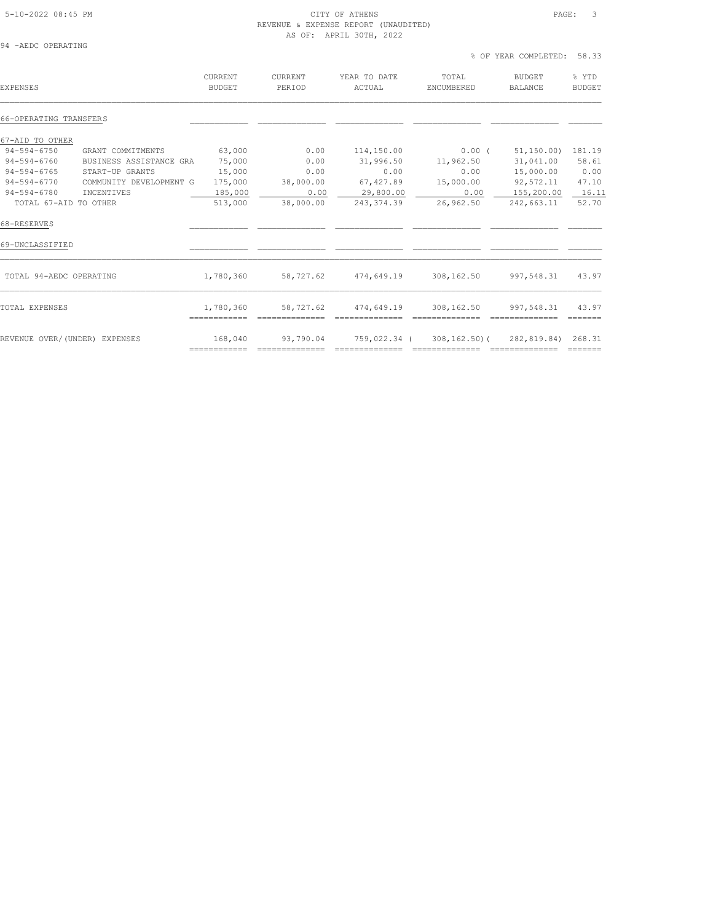## 5-10-2022 08:45 PM CITY OF ATHENS PAGE: 3 REVENUE & EXPENSE REPORT (UNAUDITED) AS OF: APRIL 30TH, 2022<br>
94 - AEDC OPERATING

| 94 | -AEDC OPERATING |  |
|----|-----------------|--|
|    |                 |  |

|                          |                                                                                            |                                                             |                     | YEAR COMPLETED:                 | 58.33                  |
|--------------------------|--------------------------------------------------------------------------------------------|-------------------------------------------------------------|---------------------|---------------------------------|------------------------|
| CURRENT<br><b>BUDGET</b> | <b>CURRENT</b><br>PERIOD                                                                   | YEAR TO DATE<br>ACTUAL                                      | TOTAL<br>ENCUMBERED | <b>BUDGET</b><br><b>BALANCE</b> | % YTD<br><b>BUDGET</b> |
|                          |                                                                                            |                                                             |                     |                                 |                        |
|                          |                                                                                            |                                                             |                     |                                 |                        |
|                          | 0.00                                                                                       | 114,150.00                                                  |                     | 51, 150.00                      | 181.19                 |
|                          | 0.00                                                                                       | 31,996.50                                                   | 11,962.50           | 31,041.00                       | 58.61                  |
|                          | 0.00                                                                                       | 0.00                                                        | 0.00                | 15,000.00                       | 0.00                   |
|                          | 38,000.00                                                                                  | 67,427.89                                                   | 15,000.00           | 92,572.11                       | 47.10                  |
|                          |                                                                                            |                                                             | 0.00                | 155,200.00                      | 16.11                  |
|                          | 38,000.00                                                                                  | 243, 374.39                                                 | 26,962.50           | 242,663.11                      | 52.70                  |
|                          | GRANT COMMITMENTS<br>BUSINESS ASSISTANCE GRA<br>START-UP GRANTS<br>COMMUNITY DEVELOPMENT G | 63,000<br>75,000<br>15,000<br>175,000<br>185,000<br>513,000 | 0.00                | 29,800.00                       | % OF<br>$0.00$ $($     |

| 68-RESERVES                   |                                           |                             |                                |                                    |                               |                              |
|-------------------------------|-------------------------------------------|-----------------------------|--------------------------------|------------------------------------|-------------------------------|------------------------------|
| 69-UNCLASSIFIED               |                                           |                             |                                |                                    |                               |                              |
| TOTAL 94-AEDC OPERATING       | 1,780,360                                 | 58,727.62                   | 474,649.19                     | 308,162.50                         | 997,548.31                    | 43.97                        |
| TOTAL EXPENSES                | 1,780,360<br>-------------<br>----------- | 58,727.62                   | 474,649.19                     | 308,162.50                         | 997,548.31                    | 43.97                        |
| REVENUE OVER/(UNDER) EXPENSES | 168,040<br>____________<br>_____________  | 93,790.04<br>______________ | 759,022.34 (<br>______________ | $308, 162, 50$ (<br>______________ | 282,819.84)<br>______________ | 268.31<br>_______<br>_______ |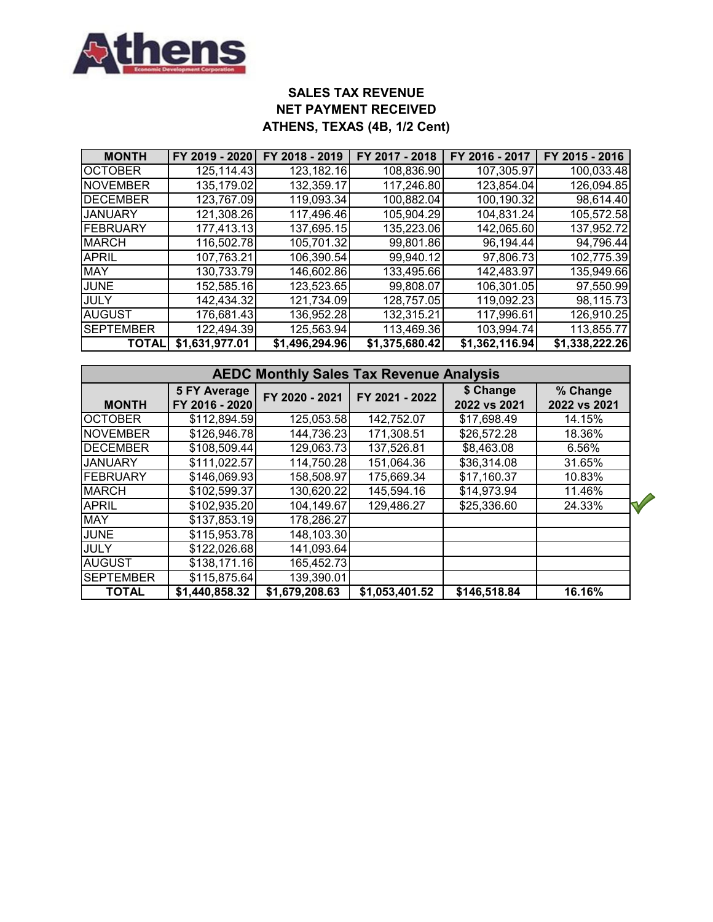

# **SALES TAX REVENUE NET PAYMENT RECEIVED ATHENS, TEXAS (4B, 1/2 Cent)**

| <b>MONTH</b>     | FY 2019 - 2020 | FY 2018 - 2019 | FY 2017 - 2018 | FY 2016 - 2017 | FY 2015 - 2016 |
|------------------|----------------|----------------|----------------|----------------|----------------|
| <b>OCTOBER</b>   | 125,114.43     | 123,182.16     | 108,836.90     | 107,305.97     | 100,033.48     |
| NOVEMBER         | 135,179.02     | 132,359.17     | 117,246.80     | 123,854.04     | 126,094.85     |
| <b>DECEMBER</b>  | 123,767.09     | 119,093.34     | 100,882.04     | 100,190.32     | 98,614.40      |
| <b>JANUARY</b>   | 121,308.26     | 117,496.46     | 105,904.29     | 104,831.24     | 105,572.58     |
| FEBRUARY         | 177,413.13     | 137,695.15     | 135,223.06     | 142,065.60     | 137,952.72     |
| <b>MARCH</b>     | 116,502.78     | 105,701.32     | 99,801.86      | 96,194.44      | 94,796.44      |
| <b>APRIL</b>     | 107,763.21     | 106,390.54     | 99,940.12      | 97,806.73      | 102,775.39     |
| <b>MAY</b>       | 130,733.79     | 146,602.86     | 133,495.66     | 142,483.97     | 135,949.66     |
| <b>JUNE</b>      | 152,585.16     | 123,523.65     | 99,808.07      | 106,301.05     | 97,550.99      |
| <b>JULY</b>      | 142,434.32     | 121,734.09     | 128,757.05     | 119,092.23     | 98,115.73      |
| <b>AUGUST</b>    | 176,681.43     | 136,952.28     | 132,315.21     | 117,996.61     | 126,910.25     |
| <b>SEPTEMBER</b> | 122,494.39     | 125,563.94     | 113,469.36     | 103,994.74     | 113,855.77     |
| <b>TOTAI</b>     | \$1,631,977.01 | \$1,496,294.96 | \$1,375,680.42 | \$1,362,116.94 | \$1,338,222.26 |

| <b>AEDC Monthly Sales Tax Revenue Analysis</b>        |                |                |                |                           |                          |  |  |  |  |  |  |
|-------------------------------------------------------|----------------|----------------|----------------|---------------------------|--------------------------|--|--|--|--|--|--|
| <b>5 FY Average</b><br>FY 2016 - 2020<br><b>MONTH</b> |                | FY 2020 - 2021 | FY 2021 - 2022 | \$ Change<br>2022 vs 2021 | % Change<br>2022 vs 2021 |  |  |  |  |  |  |
| <b>OCTOBER</b>                                        | \$112,894.59   | 125,053.58     | 142,752.07     | \$17,698.49               | 14.15%                   |  |  |  |  |  |  |
| <b>NOVEMBER</b>                                       | \$126,946.78   | 144,736.23     | 171,308.51     | \$26,572.28               | 18.36%                   |  |  |  |  |  |  |
| <b>DECEMBER</b>                                       | \$108,509.44   | 129,063.73     | 137,526.81     | \$8,463.08                | 6.56%                    |  |  |  |  |  |  |
| <b>JANUARY</b>                                        | \$111,022.57   | 114,750.28     | 151,064.36     | \$36,314.08               | 31.65%                   |  |  |  |  |  |  |
| <b>FEBRUARY</b>                                       | \$146,069.93   | 158,508.97     | 175,669.34     | \$17,160.37               | 10.83%                   |  |  |  |  |  |  |
| <b>MARCH</b>                                          | \$102,599.37   | 130,620.22     | 145,594.16     | \$14,973.94               | 11.46%                   |  |  |  |  |  |  |
| <b>APRIL</b>                                          | \$102,935.20   | 104,149.67     | 129,486.27     | \$25,336.60               | 24.33%                   |  |  |  |  |  |  |
| <b>MAY</b>                                            | \$137,853.19   | 178,286.27     |                |                           |                          |  |  |  |  |  |  |
| <b>JUNE</b>                                           | \$115,953.78   | 148,103.30     |                |                           |                          |  |  |  |  |  |  |
| JULY                                                  | \$122,026.68   | 141,093.64     |                |                           |                          |  |  |  |  |  |  |
| <b>AUGUST</b>                                         | \$138,171.16   | 165,452.73     |                |                           |                          |  |  |  |  |  |  |
| <b>SEPTEMBER</b>                                      | \$115,875.64   | 139,390.01     |                |                           |                          |  |  |  |  |  |  |
| <b>TOTAL</b>                                          | \$1,440,858.32 | \$1,679,208.63 | \$1,053,401.52 | \$146,518.84              | 16.16%                   |  |  |  |  |  |  |